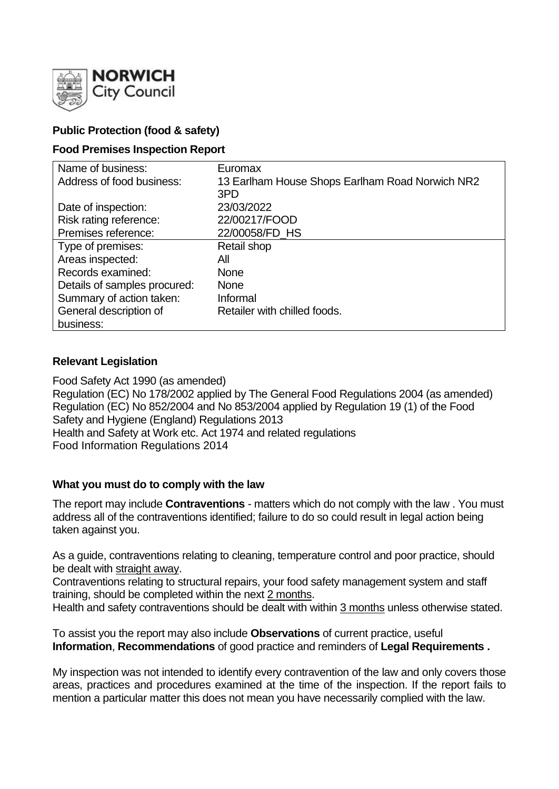

# **Public Protection (food & safety)**

### **Food Premises Inspection Report**

| Name of business:            | Euromax                                         |
|------------------------------|-------------------------------------------------|
| Address of food business:    | 13 Earlham House Shops Earlham Road Norwich NR2 |
|                              | 3PD                                             |
| Date of inspection:          | 23/03/2022                                      |
| Risk rating reference:       | 22/00217/FOOD                                   |
| Premises reference:          | 22/00058/FD HS                                  |
| Type of premises:            | Retail shop                                     |
| Areas inspected:             | All                                             |
| Records examined:            | <b>None</b>                                     |
| Details of samples procured: | <b>None</b>                                     |
| Summary of action taken:     | Informal                                        |
| General description of       | Retailer with chilled foods.                    |
| business:                    |                                                 |

### **Relevant Legislation**

Food Safety Act 1990 (as amended) Regulation (EC) No 178/2002 applied by The General Food Regulations 2004 (as amended) Regulation (EC) No 852/2004 and No 853/2004 applied by Regulation 19 (1) of the Food Safety and Hygiene (England) Regulations 2013 Health and Safety at Work etc. Act 1974 and related regulations Food Information Regulations 2014

#### **What you must do to comply with the law**

The report may include **Contraventions** - matters which do not comply with the law . You must address all of the contraventions identified; failure to do so could result in legal action being taken against you.

As a guide, contraventions relating to cleaning, temperature control and poor practice, should be dealt with straight away.

Contraventions relating to structural repairs, your food safety management system and staff training, should be completed within the next 2 months.

Health and safety contraventions should be dealt with within 3 months unless otherwise stated.

To assist you the report may also include **Observations** of current practice, useful **Information**, **Recommendations** of good practice and reminders of **Legal Requirements .**

My inspection was not intended to identify every contravention of the law and only covers those areas, practices and procedures examined at the time of the inspection. If the report fails to mention a particular matter this does not mean you have necessarily complied with the law.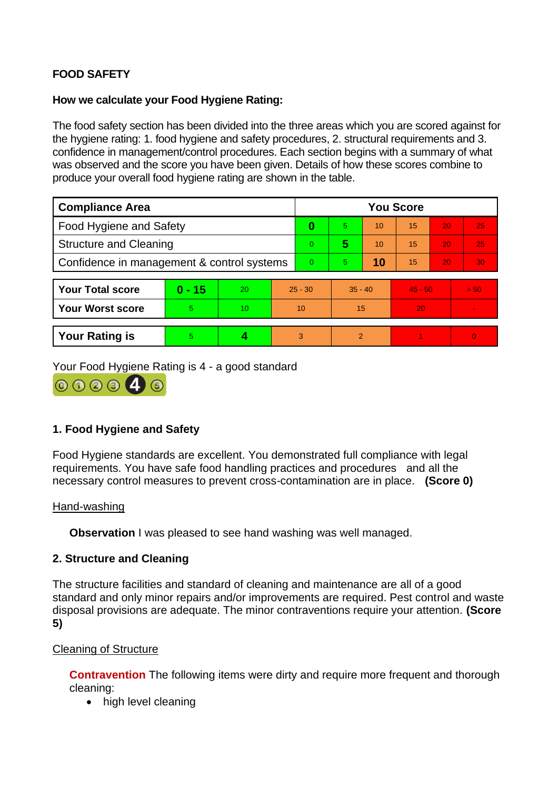# **FOOD SAFETY**

### **How we calculate your Food Hygiene Rating:**

The food safety section has been divided into the three areas which you are scored against for the hygiene rating: 1. food hygiene and safety procedures, 2. structural requirements and 3. confidence in management/control procedures. Each section begins with a summary of what was observed and the score you have been given. Details of how these scores combine to produce your overall food hygiene rating are shown in the table.

| <b>Compliance Area</b>                     |          |    |           | <b>You Score</b> |           |    |           |    |                |  |  |
|--------------------------------------------|----------|----|-----------|------------------|-----------|----|-----------|----|----------------|--|--|
| Food Hygiene and Safety                    |          |    |           | 0                | 5         | 10 | 15        | 20 | 25             |  |  |
| <b>Structure and Cleaning</b>              |          |    |           | $\Omega$         | 5         | 10 | 15        | 20 | 25             |  |  |
| Confidence in management & control systems |          |    |           | $\Omega$         | 5.        | 10 | 15        | 20 | 30             |  |  |
|                                            |          |    |           |                  |           |    |           |    |                |  |  |
| <b>Your Total score</b>                    | $0 - 15$ | 20 | $25 - 30$ |                  | $35 - 40$ |    | $45 - 50$ |    | > 50           |  |  |
| <b>Your Worst score</b>                    | 5        | 10 | 10        |                  | 15        |    | 20        |    | $\blacksquare$ |  |  |
|                                            |          |    |           |                  |           |    |           |    |                |  |  |
| <b>Your Rating is</b>                      | 5        |    |           | 3                | 2         |    |           |    | $\overline{0}$ |  |  |

Your Food Hygiene Rating is 4 - a good standard



# **1. Food Hygiene and Safety**

Food Hygiene standards are excellent. You demonstrated full compliance with legal requirements. You have safe food handling practices and procedures and all the necessary control measures to prevent cross-contamination are in place. **(Score 0)**

#### Hand-washing

**Observation** I was pleased to see hand washing was well managed.

# **2. Structure and Cleaning**

The structure facilities and standard of cleaning and maintenance are all of a good standard and only minor repairs and/or improvements are required. Pest control and waste disposal provisions are adequate. The minor contraventions require your attention. **(Score 5)**

# Cleaning of Structure

**Contravention** The following items were dirty and require more frequent and thorough cleaning:

• high level cleaning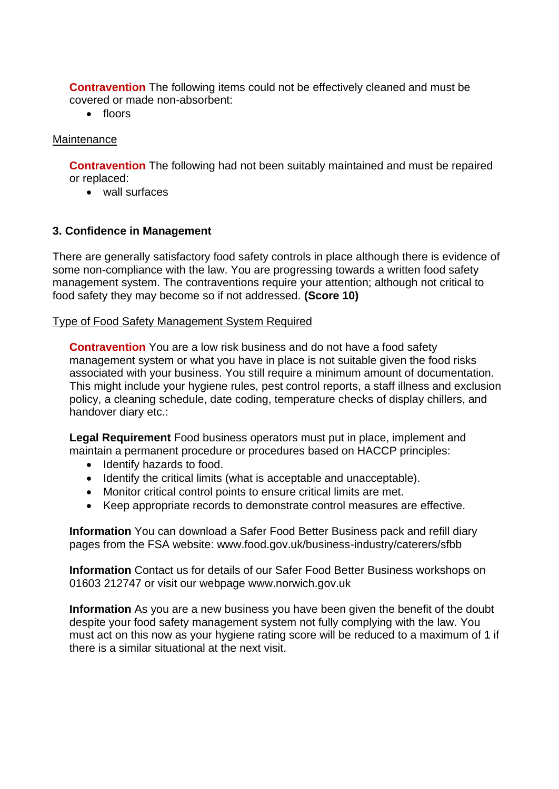**Contravention** The following items could not be effectively cleaned and must be covered or made non-absorbent:

• floors

### **Maintenance**

**Contravention** The following had not been suitably maintained and must be repaired or replaced:

• wall surfaces

### **3. Confidence in Management**

There are generally satisfactory food safety controls in place although there is evidence of some non-compliance with the law. You are progressing towards a written food safety management system. The contraventions require your attention; although not critical to food safety they may become so if not addressed. **(Score 10)**

#### Type of Food Safety Management System Required

**Contravention** You are a low risk business and do not have a food safety management system or what you have in place is not suitable given the food risks associated with your business. You still require a minimum amount of documentation. This might include your hygiene rules, pest control reports, a staff illness and exclusion policy, a cleaning schedule, date coding, temperature checks of display chillers, and handover diary etc.:

**Legal Requirement** Food business operators must put in place, implement and maintain a permanent procedure or procedures based on HACCP principles:

- Identify hazards to food.
- Identify the critical limits (what is acceptable and unacceptable).
- Monitor critical control points to ensure critical limits are met.
- Keep appropriate records to demonstrate control measures are effective.

**Information** You can download a Safer Food Better Business pack and refill diary pages from the FSA website: www.food.gov.uk/business-industry/caterers/sfbb

**Information** Contact us for details of our Safer Food Better Business workshops on 01603 212747 or visit our webpage www.norwich.gov.uk

**Information** As you are a new business you have been given the benefit of the doubt despite your food safety management system not fully complying with the law. You must act on this now as your hygiene rating score will be reduced to a maximum of 1 if there is a similar situational at the next visit.